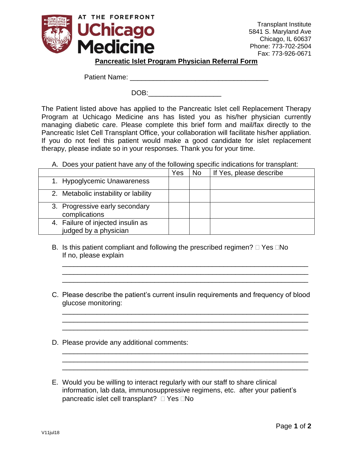

Transplant Institute 5841 S. Maryland Ave Chicago, IL 60637 Phone: 773-702-2504 Fax: 773-926-0671

## **Pancreatic Islet Program Physician Referral Form**

Patient Name: **Example 20** For the set of the set of the set of the set of the set of the set of the set of the set of the set of the set of the set of the set of the set of the set of the set of the set of the set of the

DOB:

The Patient listed above has applied to the Pancreatic Islet cell Replacement Therapy Program at Uchicago Medicine ans has listed you as his/her physician currently managing diabetic care. Please complete this brief form and mail/fax directly to the Pancreatic Islet Cell Transplant Office, your collaboration will facilitate his/her appliation. If you do not feel this patient would make a good candidate for islet replacement therapy, please indiate so in your responses. Thank you for your time.

A. Does your patient have any of the following specific indications for transplant:

|                                                            | Yes | <b>No</b> | If Yes, please describe |
|------------------------------------------------------------|-----|-----------|-------------------------|
| 1. Hypoglycemic Unawareness                                |     |           |                         |
| 2. Metabolic instability or lability                       |     |           |                         |
| 3. Progressive early secondary<br>complications            |     |           |                         |
| 4. Failure of injected insulin as<br>judged by a physician |     |           |                         |

- B. Is this patient compliant and following the prescribed regimen?  $\Box$  Yes  $\Box$ No If no, please explain
- C. Please describe the patient's current insulin requirements and frequency of blood glucose monitoring:

\_\_\_\_\_\_\_\_\_\_\_\_\_\_\_\_\_\_\_\_\_\_\_\_\_\_\_\_\_\_\_\_\_\_\_\_\_\_\_\_\_\_\_\_\_\_\_\_\_\_\_\_\_\_\_\_\_\_\_\_\_\_\_\_ \_\_\_\_\_\_\_\_\_\_\_\_\_\_\_\_\_\_\_\_\_\_\_\_\_\_\_\_\_\_\_\_\_\_\_\_\_\_\_\_\_\_\_\_\_\_\_\_\_\_\_\_\_\_\_\_\_\_\_\_\_\_\_\_ \_\_\_\_\_\_\_\_\_\_\_\_\_\_\_\_\_\_\_\_\_\_\_\_\_\_\_\_\_\_\_\_\_\_\_\_\_\_\_\_\_\_\_\_\_\_\_\_\_\_\_\_\_\_\_\_\_\_\_\_\_\_\_\_

\_\_\_\_\_\_\_\_\_\_\_\_\_\_\_\_\_\_\_\_\_\_\_\_\_\_\_\_\_\_\_\_\_\_\_\_\_\_\_\_\_\_\_\_\_\_\_\_\_\_\_\_\_\_\_\_\_\_\_\_\_\_\_\_ \_\_\_\_\_\_\_\_\_\_\_\_\_\_\_\_\_\_\_\_\_\_\_\_\_\_\_\_\_\_\_\_\_\_\_\_\_\_\_\_\_\_\_\_\_\_\_\_\_\_\_\_\_\_\_\_\_\_\_\_\_\_\_\_ \_\_\_\_\_\_\_\_\_\_\_\_\_\_\_\_\_\_\_\_\_\_\_\_\_\_\_\_\_\_\_\_\_\_\_\_\_\_\_\_\_\_\_\_\_\_\_\_\_\_\_\_\_\_\_\_\_\_\_\_\_\_\_\_

\_\_\_\_\_\_\_\_\_\_\_\_\_\_\_\_\_\_\_\_\_\_\_\_\_\_\_\_\_\_\_\_\_\_\_\_\_\_\_\_\_\_\_\_\_\_\_\_\_\_\_\_\_\_\_\_\_\_\_\_\_\_\_\_ \_\_\_\_\_\_\_\_\_\_\_\_\_\_\_\_\_\_\_\_\_\_\_\_\_\_\_\_\_\_\_\_\_\_\_\_\_\_\_\_\_\_\_\_\_\_\_\_\_\_\_\_\_\_\_\_\_\_\_\_\_\_\_\_ \_\_\_\_\_\_\_\_\_\_\_\_\_\_\_\_\_\_\_\_\_\_\_\_\_\_\_\_\_\_\_\_\_\_\_\_\_\_\_\_\_\_\_\_\_\_\_\_\_\_\_\_\_\_\_\_\_\_\_\_\_\_\_\_

- D. Please provide any additional comments:
- E. Would you be willing to interact regularly with our staff to share clinical information, lab data, immunosuppressive regimens, etc. after your patient's pancreatic islet cell transplant?  $\Box$  Yes  $\Box$ No